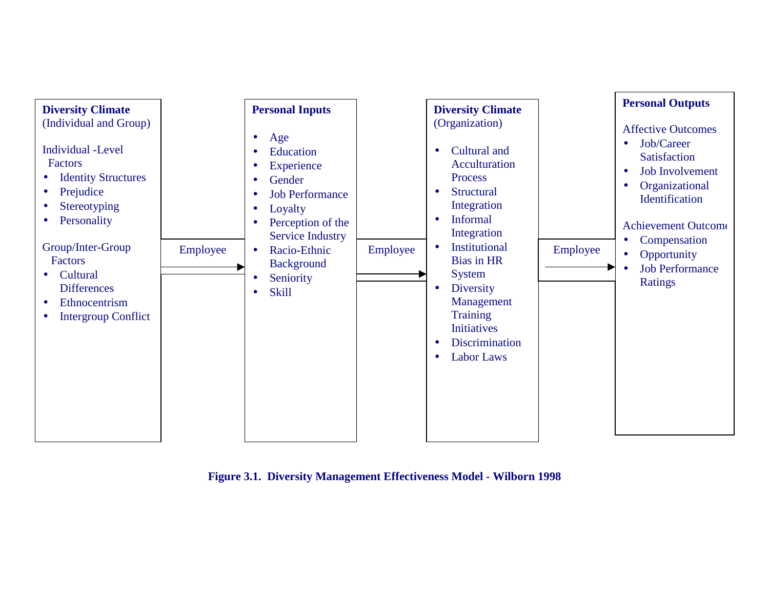

**Figure 3.1. Diversity Management Effectiveness Model - Wilborn 1998**